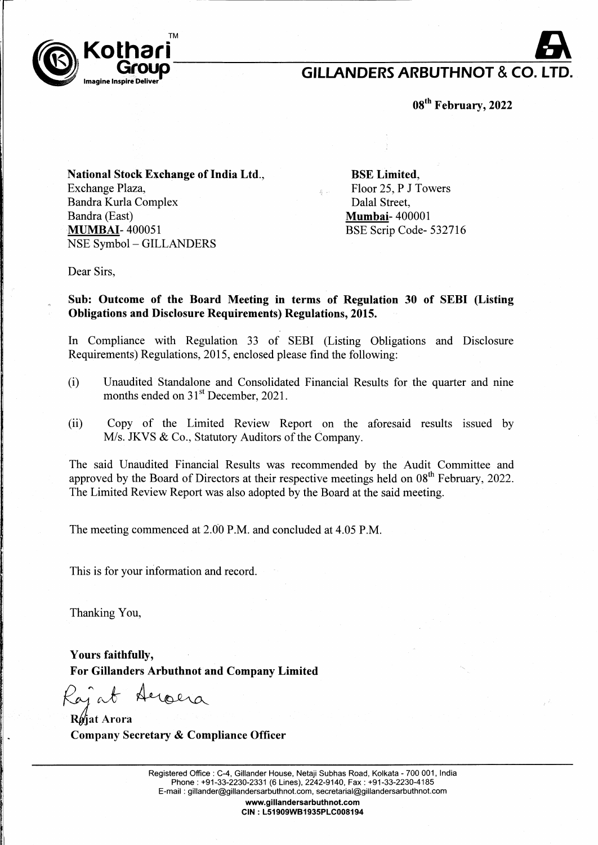

## **GILLANDERS ARBUTHNOT & CO. LT**

**ogth February, 2022** 

**National Stock Exchange of India Ltd.,**  Exchange Plaza, Bandra Kurla Complex Bandra (East) **MUMBAI-** 400051 NSE Symbol- GILLANDERS

**BSE Limited,**  Floor 25, **P** J Towers Dalal Street, **Mumbai-** 400001 BSE Scrip Code- 532716

Dear Sirs,

**Sub: Outcome of the Board Meeting in terms of Regulation 30 of SEBI (Listing Obligations and Disclosure Requirements) Regulations, 2015.** 

In Compliance with Regulation 33 of SEBI (Listing Obligations and Disclosure Requirements) Regulations, 2015, enclosed please find the following:

- (i) Unaudited Standalone and Consolidated Financial Results for the quarter and nine months ended on 31<sup>st</sup> December, 2021.
- (ii) Copy of the Limited Review Report on the aforesaid results issued by M/s. JKVS & Co., Statutory Auditors of the Company.

The said Unaudited Financial Results was recommended by the Audit Committee and approved by the Board of Directors at their respective meetings held on  $08<sup>th</sup>$  February, 2022. The Limited Review Report was also adopted by the Board at the said meeting.

The meeting commenced at 2.00 P.M. and concluded at 4.05 P.M.

This is for your information and record.

Thanking You,

: .

**Yours faithfully, For Gillanders Arbuthnot and Company Limited**  illy,<br>rs Arbuthnot and Company l<br>Aeroera

*/GJ"cvb-*

**R6)at Arora Company Secretary & Compliance Officer** 

> Registered Office : C-4, Gillander House, Netaji Subhas Road, Kolkata - 700 001, India Phone: +91-33-2230-2331 (6 Lines), 2242-9140, Fax: +91-33-2230-4185 E-mail : gillander@gillandersarbuthnot.com, secretarial@gillandersarbuthnot.com

> > **www.gillandersarbuthnot.com CIN: L51909WB1935PLC008194**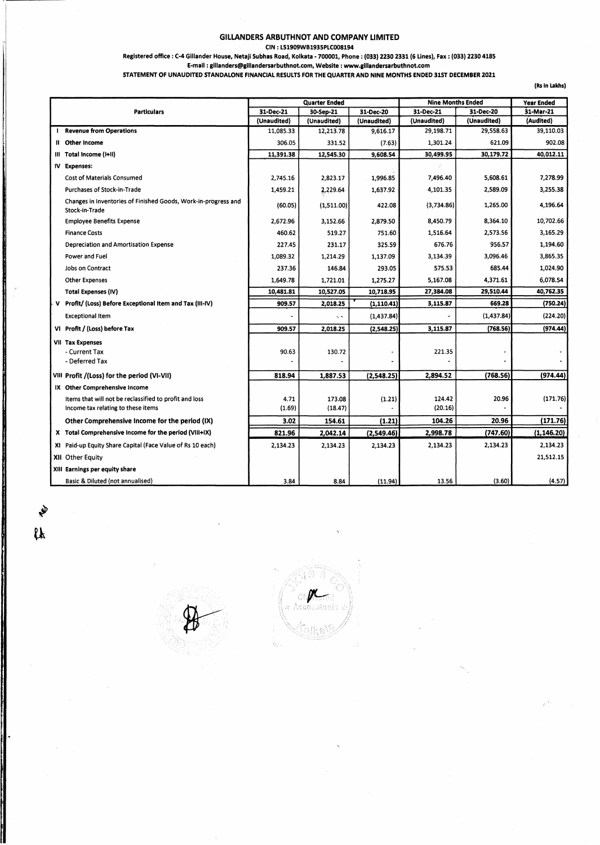#### GILLANDERS ARBUTHNOT AND COMPANY LIMITED

CIN : L51909WB1935PLC008194

Registered office : C-4 Gillander House, Netaji Subhas Road, Kolkata - 700001, Phone : (033) 2230 2331 (6 Lines), Fax : (033) 2230 4185

E-mail : glllanders@lglllandersarbuthnot.com, Website : www.glllandersarbuthnot.com

#### STATEMENT OF UNAUDITED STANDALONE FINANCIAL RESULTS FOR THE QUARTER AND NINE MONTHS ENDED 31ST DECEMBER 2021

(Rs In lakhs)

|                    |                                                                                              | <b>Quarter Ended</b> |                   | <b>Nine Months Ended</b> |                   | Year Ended  |             |
|--------------------|----------------------------------------------------------------------------------------------|----------------------|-------------------|--------------------------|-------------------|-------------|-------------|
| <b>Particulars</b> |                                                                                              | 31-Dec-21            | 30-Sep-21         | 31-Dec-20                | 31-Dec-21         | 31-Dec-20   | 31-Mar-21   |
|                    |                                                                                              | (Unaudited)          | (Unaudited)       | (Unaudited)              | (Unaudited)       | (Unaudited) | (Audited)   |
|                    | <b>Revenue from Operations</b>                                                               | 11,085.33            | 12,213.78         | 9,616.17                 | 29,198.71         | 29,558.63   | 39,110.03   |
|                    | II Other Income                                                                              | 306.05               | 331.52            | (7.63)                   | 1,301.24          | 621.09      | 902.08      |
|                    | III Total Income (I+II)                                                                      | 11,391.38            | 12,545.30         | 9,608.54                 | 30,499.95         | 30,179.72   | 40,012.11   |
|                    | IV Expenses:                                                                                 |                      |                   |                          |                   |             |             |
|                    | <b>Cost of Materials Consumed</b>                                                            | 2,745.16             | 2,823.17          | 1,996.85                 | 7,496.40          | 5,608.61    | 7,278.99    |
|                    | Purchases of Stock-in-Trade                                                                  | 1,459.21             | 2,229.64          | 1,637.92                 | 4,101.35          | 2,589.09    | 3,255.38    |
|                    | Changes in Inventories of Finished Goods, Work-in-progress and<br>Stock-in-Trade             | (60.05)              | (1,511.00)        | 422.08                   | (3,734.86)        | 1,265.00    | 4,196.64    |
|                    | <b>Employee Benefits Expense</b>                                                             | 2,672.96             | 3,152.66          | 2,879.50                 | 8,450.79          | 8,364.10    | 10,702.66   |
|                    | <b>Finance Costs</b>                                                                         | 460.62               | 519.27            | 751.60                   | 1,516.64          | 2,573.56    | 3.165.29    |
|                    | Depreciation and Amortisation Expense                                                        | 227.45               | 231.17            | 325.59                   | 676.76            | 956.57      | 1,194.60    |
|                    | Power and Fuel                                                                               | 1,089.32             | 1,214.29          | 1,137.09                 | 3,134.39          | 3,096.46    | 3,865.35    |
|                    | Jobs on Contract                                                                             | 237.36               | 146.84            | 293.05                   | 575.53            | 685.44      | 1,024.90    |
|                    | <b>Other Expenses</b>                                                                        | 1,649.78             | 1,721.01          | 1,275.27                 | 5,167.08          | 4,371.61    | 6,078.54    |
|                    | <b>Total Expenses (IV)</b>                                                                   | 10,481.81            | 10,527.05         | 10,718.95                | 27,384.08         | 29,510.44   | 40,762.35   |
|                    | V Profit/ (Loss) Before Exceptional Item and Tax (III-IV)                                    | 909.57               | 2,018.25          | (1, 110.41)              | 3,115.87          | 669.28      | (750.24)    |
|                    | <b>Exceptional Item</b>                                                                      |                      | ę.                | (1,437.84)               |                   | (1, 437.84) | (224.20)    |
|                    | VI Profit / (Loss) before Tax                                                                | 909.57               | 2,018.25          | (2,548.25)               | 3,115.87          | (768.56)    | (974.44)    |
|                    | <b>VII Tax Expenses</b><br>- Current Tax<br>- Deferred Tax                                   | 90.63                | 130.72            |                          | 221.35            |             |             |
|                    | VIII Profit /(Loss) for the period (VI-VII)                                                  | 818.94               | 1,887.53          | (2,548.25)               | 2,894.52          | (768.56)    | (974.44)    |
|                    | IX Other Comprehensive Income                                                                |                      |                   |                          |                   |             |             |
|                    | Items that will not be reclassified to profit and loss<br>Income tax relating to these items | 4.71<br>(1.69)       | 173.08<br>(18.47) | (1.21)                   | 124.42<br>(20.16) | 20.96       | (171.76)    |
|                    | Other Comprehensive Income for the period (IX)                                               | 3.02                 | 154.61            | (1.21)                   | 104.26            | 20.96       | (171.76)    |
|                    | X Total Comprehensive Income for the period (VIII+IX)                                        | 821.96               | 2,042.14          | (2,549.46)               | 2,998.78          | (747.60)    | (1, 146.20) |
|                    | XI Paid-up Equity Share Capital (Face Value of Rs 10 each)                                   | 2,134.23             | 2,134.23          | 2,134.23                 | 2,134.23          | 2,134.23    | 2,134.23    |
|                    | <b>XII</b> Other Equity                                                                      |                      |                   |                          |                   |             | 21,512.15   |
|                    | XIII Earnings per equity share                                                               |                      |                   |                          |                   |             |             |
|                    | Basic & Diluted (not annualised)                                                             | 3.84                 | 8.84              | (11.94)                  | 13.56             | (3.60)      | (4.57)      |

 $\boldsymbol{\mathfrak{a}}$ 



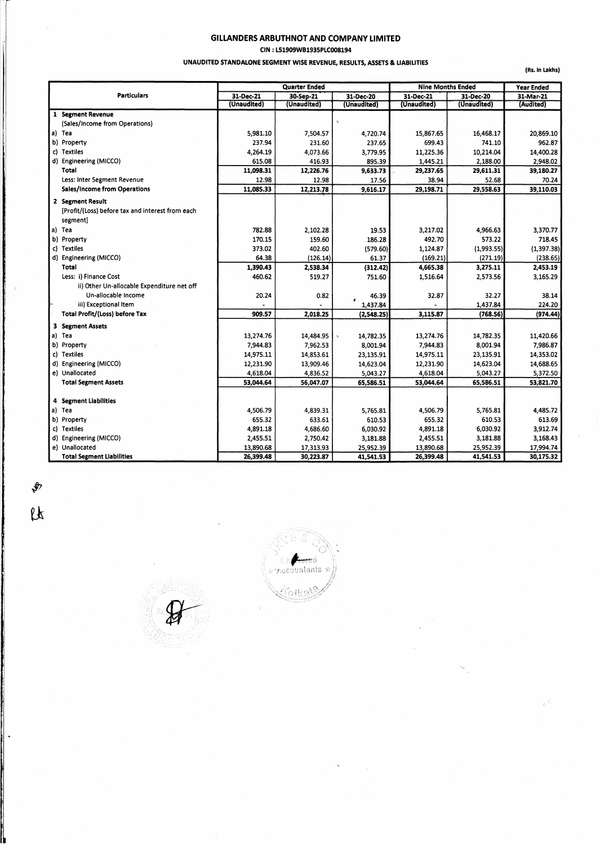#### GILLANDERS ARBUTHNOT AND COMPANY LIMITED CIN : L51909WB1935PLC008194

#### UNAUDITED STANDALONE SEGMENT WISE REVENUE, RESULTS, ASSETS & LIABILITIES

(Rs. In Lakhs)

|                                                  |             | <b>Quarter Ended</b> |               | <b>Nine Months Ended</b> | <b>Year Ended</b> |             |
|--------------------------------------------------|-------------|----------------------|---------------|--------------------------|-------------------|-------------|
| <b>Particulars</b>                               | 31-Dec-21   | 30-Sep-21            | 31-Dec-20     | 31-Dec-21                | 31-Dec-20         | 31-Mar-21   |
|                                                  | (Unaudited) | (Unaudited)          | (Unaudited)   | (Unaudited)              | (Unaudited)       | (Audited)   |
| 1 Segment Revenue                                |             |                      |               |                          |                   |             |
| (Sales/Income from Operations)                   |             |                      |               |                          |                   |             |
| a) Tea                                           | 5,981.10    | 7,504.57             | 4,720.74      | 15,867.65                | 16,468.17         | 20,869.10   |
| b) Property                                      | 237.94      | 231.60               | 237.65        | 699.43                   | 741.10            | 962.87      |
| c) Textiles                                      | 4,264.19    | 4,073.66             | 3,779.95      | 11,225.36                | 10,214.04         | 14,400.28   |
| d) Engineering (MICCO)                           | 615.08      | 416.93               | 895.39        | 1,445.21                 | 2,188.00          | 2,948.02    |
| Total                                            | 11,098.31   | 12,226.76            | 9,633.73      | 29,237.65                | 29,611.31         | 39,180.27   |
| Less: Inter Segment Revenue                      | 12.98       | 12.98                | 17.56         | 38.94                    | 52.68             | 70.24       |
| <b>Sales/Income from Operations</b>              | 11,085.33   | 12,213.78            | 9,616.17      | 29,198.71                | 29,558.63         | 39,110.03   |
| 2 Segment Result                                 |             |                      |               |                          |                   |             |
| [Profit/(Loss) before tax and interest from each |             |                      |               |                          |                   |             |
| segment]                                         |             |                      |               |                          |                   |             |
| a) Tea                                           | 782.88      | 2,102.28             | 19.53         | 3,217.02                 | 4,966.63          | 3,370.77    |
| b) Property                                      | 170.15      | 159.60               | 186.28        | 492.70                   | 573.22            | 718.45      |
| c) Textiles                                      | 373.02      | 402.60               | (579.60)      | 1,124.87                 | (1,993.55)        | (1, 397.38) |
| d) Engineering (MICCO)                           | 64.38       | (126.14)             | 61.37         | (169.21)                 | (271.19)          | (238.65)    |
| Total                                            | 1,390.43    | 2,538.34             | (312.42)      | 4,665.38                 | 3,275.11          | 2,453.19    |
| Less: i) Finance Cost                            | 460.62      | 519.27               | 751.60        | 1,516.64                 | 2,573.56          | 3,165.29    |
| ii) Other Un-allocable Expenditure net off       |             |                      |               |                          |                   |             |
| Un-allocable Income                              | 20.24       | 0.82                 | 46.39         | 32.87                    | 32.27             | 38.14       |
| iii) Exceptional Item                            |             |                      | ٠<br>1,437.84 |                          | 1.437.84          | 224.20      |
| Total Profit/(Loss) before Tax                   | 909.57      | 2,018.25             | (2, 548.25)   | 3,115.87                 | (768.56)          | (974.44)    |
| <b>3 Segment Assets</b>                          |             |                      |               |                          |                   |             |
| a) Tea                                           | 13,274.76   | 14,484.95            | 14,782.35     | 13,274.76                | 14,782.35         | 11,420.66   |
| b) Property                                      | 7,944.83    | 7,962.53             | 8,001.94      | 7,944.83                 | 8,001.94          | 7,986.87    |
| c) Textiles                                      | 14,975.11   | 14,853.61            | 23,135.91     | 14,975.11                | 23,135.91         | 14,353.02   |
| d) Engineering (MICCO)                           | 12,231.90   | 13,909.46            | 14,623.04     | 12,231.90                | 14,623.04         | 14,688.65   |
| e) Unallocated                                   | 4,618.04    | 4,836.52             | 5,043.27      | 4,618.04                 | 5,043.27          | 5,372.50    |
| <b>Total Segment Assets</b>                      | 53,044.64   | 56,047.07            | 65,586.51     | 53,044.64                | 65,586.51         | 53,821.70   |
|                                                  |             |                      |               |                          |                   |             |
| 4 Segment Liabilities                            |             |                      |               |                          |                   |             |
| a) Tea                                           | 4,506.79    | 4,839.31             | 5.765.81      | 4,506.79                 | 5,765.81          | 4,485.72    |
| b) Property                                      | 655.32      | 633.61               | 610.53        | 655.32                   | 610.53            | 613.69      |
| c) Textiles                                      | 4,891.18    | 4,686.60             | 6,030.92      | 4,891.18                 | 6,030.92          | 3,912.74    |
| d) Engineering (MICCO)                           | 2,455.51    | 2,750.42             | 3,181.88      | 2,455.51                 | 3,181.88          | 3,168.43    |
| e) Unallocated                                   | 13,890.68   | 17,313.93            | 25,952.39     | 13,890.68                | 25,952.39         | 17,994.74   |
| <b>Total Segment Liabilities</b>                 | 26,399.48   | 30,223.87            | 41,541.53     | 26,399.48                | 41,541.53         | 30,175.32   |

 $\sqrt[4]{2}$  $\mu$ 

Accountants Tolka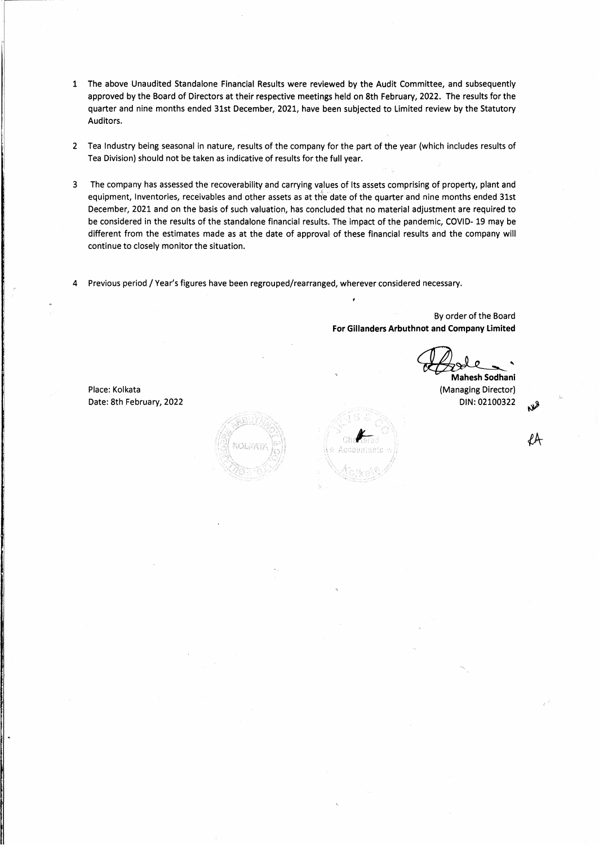- 1 The above Unaudited Standalone Financial Results were reviewed by the Audit Committee, and subsequently approved by the Board of Directors at their respective meetings held on 8th February, 2022. The results for the quarter and nine months ended 31st December, 2021, have been subjected to Limited review by the Statutory Auditors.
- 2 Tea Industry being seasonal in nature, results of the company for the part of the year (which includes results of Tea Division) should not be taken as indicative of results for the full year.
- 3 The company has assessed the recoverability and carrying values of Its assets comprising of property, plant and equipment, Inventories, receivables and other assets as at the date of the quarter and nine months ended 31st December, 2021 and on the basis of such valuation, has concluded that no material adjustment are required to be considered in the results of the standalone financial results. The impact of the pandemic, COVID- 19 may be different from the estimates made as at the date of approval of these financial results and the company will continue to closely monitor the situation.
- 4 Previous period / Year's figures have been regrouped/rearranged, wherever considered necessary.

By order of the Board **For Gillanders Arbuthnot and Company Limited** 

~' **Mahesh Sodhani** 

(Managing Director) DIN:02100322



Place: Kolkata Date: 8th February, 2022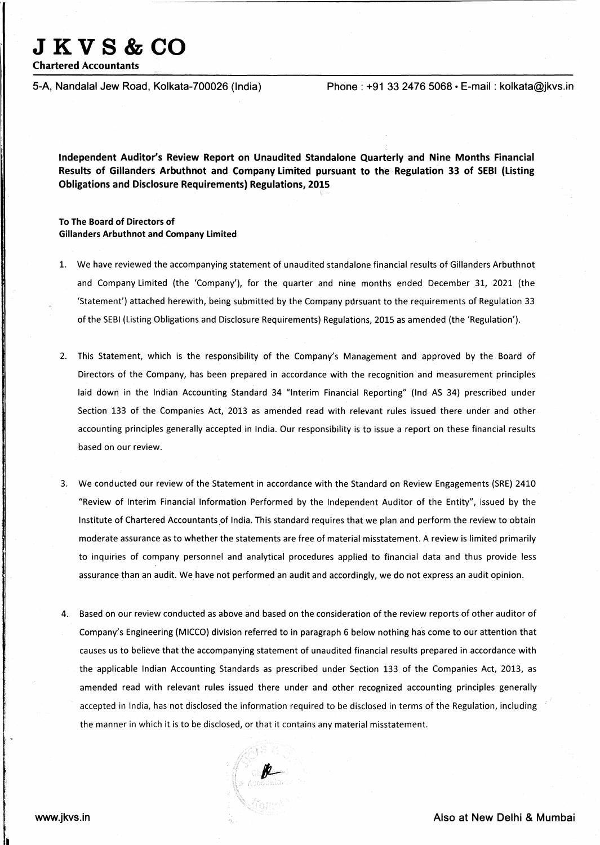# **JKVS&CO**

Chartered Accountants

5-A, Nandalal Jew Road, Kolkata-700026 (India) Phone : +91 33 24 76 5068 • E-mail : kolkata@jkvs.in

Independent Auditor's Review Report on Unaudited Standalone Quarterly and Nine Months Financial Results of Gillanders Arbuthnot and Company Limited pursuant to the Regulation 33 of SEBI (Listing Obligations and Disclosure Requirements) Regulations, 2015

#### To The Board of Directors of Gillanders Arbuthnot and Company Limited

- 1. We have reviewed the accompanying statement of unaudited standalone financial results of Gillanders Arbuthnot and Company limited (the 'Company'), for the quarter and nine months ended December 31, 2021 (the 'Statement') attached herewith, being submitted by the Company pursuant to the requirements of Regulation 33 of the SEBI {listing Obligations and Disclosure Requirements) Regulations, 2015 as amended (the 'Regulation').
- 2. This Statement, which is the responsibility of the Company's Management and approved by the Board of Directors of the Company, has been prepared in accordance with the recognition and measurement principles laid down in the Indian Accounting Standard 34 "Interim Financial Reporting" (lnd AS 34) prescribed under Section 133 of the Companies Act, 2013 as amended read with relevant rules issued there under and other accounting principles generally accepted in India. Our responsibility is to issue a report on these financial results based on our review.
- 3. We conducted our review of the Statement in accordance with the Standard on Review Engagements (SRE) 2410 "Review of Interim Financial Information Performed by the Independent Auditor of the Entity", issued by the Institute of Chartered Accountants of India. This standard requires that we plan and perform the review to obtain moderate assurance as to whether the statements are free of material misstatement. A review is limited primarily to inquiries of company personnel and analytical procedures applied to financial data and thus provide less assurance than an audit. We have not performed an audit and accordingly, we do not express an audit opinion.
- 4. Based on our review conducted as above and based on the consideration of the review reports of other auditor of Company's Engineering (MICCO) division referred to in paragraph 6 below nothing has come to our attention that causes us to believe that the accompanying statement of unaudited financial results prepared in accordance with the applicable Indian Accounting Standards as prescribed under Section 133. of the Companies Act, 2013, as amended read with relevant rules issued there under and other recognized accounting principles generally accepted in India, has not disclosed the information required to be disclosed in terms of the Regulation, including the manner in which it is to be disclosed, or that it contains any material misstatement.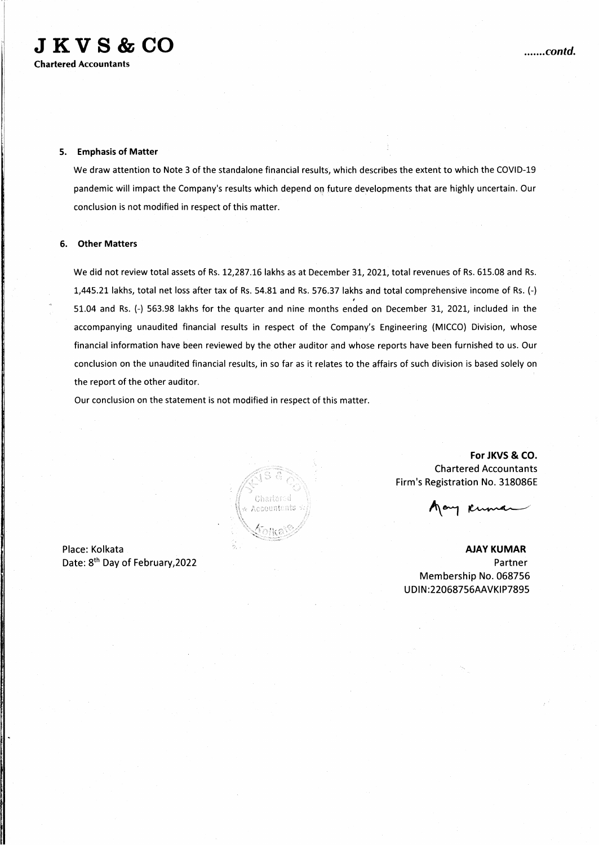#### 5. Emphasis of Matter

We draw attention to Note 3 of the standalone financial results, which describes the extent to which the COVID-19 pandemic will impact the Company's results which depend oq future developments that are highly uncertain. Our conclusion is not modified in respect of this matter.

#### 6. Other Matters

We did not review total assets of Rs. 12,287.16 lakhs as at December 31, 2021, total revenues of Rs. 615.08 and Rs. 1,445.21 lakhs, total net loss after tax of Rs. 54.81 and Rs. 576.37 lakhs and total comprehensive income of Rs. (-) 51.04 and Rs. (-) 563.98 lakhs for the quarter and nine months ended on December 31, 2021, included in the accompanying unaudited financial results in respect of the Company's Engineering (MICCO) Division, whose financial information have been reviewed by the other auditor and whose reports have been furnished to us. Our conclusion on the unaudited financial results, in so far as it relates to the affairs of such division is based solely on the report of the other auditor.

Our conclusion on the statement is not modified in respect of this matter.

Charlefod ecountanis

Place: Kolkata Date: 8<sup>th</sup> Day of February, 2022

For JKVS & CO. Chartered Accountants Firm's Registration No. 318086E

AJAY KUMAR Partner Membership No. 068756 UDIN:22068756AAVKIP7895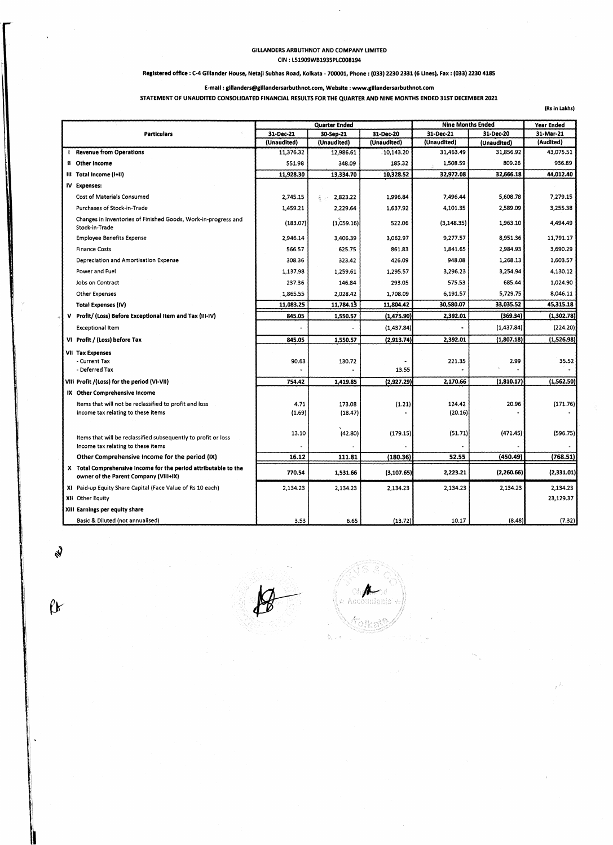#### GILLANDERS ARBUTHNOT AND COMPANY LIMITED CIN : LS1909WB1935PLC008194

#### Registered office : C-4 Glllander House, Netajl Subhas Road, Kolkata - 700001, Phone : (033) 2230 2331 (6 Lines), Fax : (033) 2230 4185

#### E-mail : glllanders@clllandersarbuthnot.com, Website : www.glllandersarbuthnot.com

STATEMENT Of UNAUDITED CONSOLIDATED FINANCIAL RESULTS FOR THE QUARTER AND NINE MONTHS ENDED 31ST DECEMBER 2021

(Rs In Lakhs)

|                    |                                                                                                          | <b>Quarter Ended</b> |                 | <b>Nine Months Ended</b> |             | Year Ended  |            |
|--------------------|----------------------------------------------------------------------------------------------------------|----------------------|-----------------|--------------------------|-------------|-------------|------------|
| <b>Particulars</b> |                                                                                                          | 31-Dec-21            | 30-Sep-21       | 31-Dec-20                | 31-Dec-21   | 31-Dec-20   | 31-Mar-21  |
|                    |                                                                                                          | (Unaudited)          | (Unaudited)     | (Unaudited)              | (Unaudited) | (Unaudited) | (Audited)  |
|                    | <b>Revenue from Operations</b>                                                                           | 11,376.32            | 12,986.61       | 10,143.20                | 31,463.49   | 31,856.92   | 43,075.51  |
|                    | II Other Income                                                                                          | 551.98               | 348.09          | 185.32                   | 1,508.59    | 809.26      | 936.89     |
|                    | III Total Income (I+II)                                                                                  | 11,928.30            | 13,334.70       | 10,328.52                | 32,972.08   | 32,666.18   | 44,012.40  |
|                    | IV Expenses:                                                                                             |                      |                 |                          |             |             |            |
|                    | Cost of Materials Consumed                                                                               | 2,745.15             | 2,823.22<br>看 天 | 1,996.84                 | 7,496.44    | 5,608.78    | 7,279.15   |
|                    | Purchases of Stock-in-Trade                                                                              | 1,459.21             | 2,229.64        | 1,637.92                 | 4,101.35    | 2,589.09    | 3,255.38   |
|                    | Changes in Inventories of Finished Goods, Work-in-progress and<br>Stock-in-Trade                         | (183.07)             | (1,059.16)      | 522.06                   | (3, 148.35) | 1,963.10    | 4,494.49   |
|                    | <b>Employee Benefits Expense</b>                                                                         | 2,946.14             | 3,406.39        | 3,062.97                 | 9,277.57    | 8,951.36    | 11,791.17  |
|                    | <b>Finance Costs</b>                                                                                     | 566.57               | 625.75          | 861.83                   | 1,841.65    | 2,984.93    | 3,690.29   |
|                    | Depreciation and Amortisation Expense                                                                    | 308.36               | 323.42          | 426.09                   | 948.08      | 1,268.13    | 1,603.57   |
|                    | Power and Fuel                                                                                           | 1,137.98             | 1,259.61        | 1,295.57                 | 3,296.23    | 3,254.94    | 4,130.12   |
|                    | Jobs on Contract                                                                                         | 237.36               | 146.84          | 293.05                   | 575.53      | 685.44      | 1,024.90   |
|                    | <b>Other Expenses</b>                                                                                    | 1,865.55             | 2,028.42        | 1,708.09                 | 6,191.57    | 5,729.75    | 8,046.11   |
|                    | Total Expenses (IV)                                                                                      | 11,083.25            | 11,784.13       | 11,804.42                | 30,580.07   | 33,035.52   | 45,315.18  |
|                    | V Profit/ (Loss) Before Exceptional Item and Tax (III-IV)                                                | 845.05               | 1,550.57        | (1,475.90)               | 2,392.01    | (369.34)    | (1,302.78) |
|                    | Exceptional Item                                                                                         |                      |                 | (1,437.84)               |             | (1, 437.84) | (224.20)   |
|                    | VI Profit / (Loss) before Tax                                                                            | 845.05               | 1,550.57        | (2, 913.74)              | 2,392.01    | (1,807.18)  | (1,526.98) |
|                    | <b>VII Tax Expenses</b>                                                                                  |                      |                 |                          |             |             |            |
|                    | - Current Tax                                                                                            | 90.63                | 130.72          |                          | 221.35      | 2.99        | 35.52      |
|                    | - Deferred Tax                                                                                           |                      |                 | 13.55                    |             |             |            |
|                    | VIII Profit /(Loss) for the period (VI-VII)                                                              | 754.42               | 1,419.85        | (2,927.29)               | 2,170.66    | (1,810.17)  | (1,562.50) |
|                    | IX Other Comprehensive Income                                                                            |                      |                 |                          |             |             |            |
|                    | Items that will not be reclassified to profit and loss                                                   | 4.71                 | 173.08          | (1.21)                   | 124.42      | 20.96       | (171.76)   |
|                    | Income tax relating to these items                                                                       | (1.69)               | (18.47)         |                          | (20.16)     |             |            |
|                    |                                                                                                          |                      |                 |                          |             |             |            |
|                    | Items that will be reclassified subsequently to profit or loss                                           | 13.10                | (42.80)         | (179.15)                 | (51.71)     | (471.45)    | (596.75)   |
|                    | Income tax relating to these items                                                                       |                      |                 |                          |             |             |            |
|                    | Other Comprehensive Income for the period (IX)                                                           | 16.12                | 111.81          | (180.36)                 | 52.55       | (450.49)    | (768.51)   |
|                    | X Total Comprehensive Income for the period attributable to the<br>owner of the Parent Company (Vill+IX) | 770.54               | 1,531.66        | (3, 107.65)              | 2,223.21    | (2,260.66)  | (2,331.01) |
|                    | XI Paid-up Equity Share Capital (Face Value of Rs 10 each)                                               | 2,134.23             | 2,134.23        | 2,134.23                 | 2,134.23    | 2,134.23    | 2,134.23   |
|                    | XII Other Equity                                                                                         |                      |                 |                          |             |             | 23,129.37  |
|                    | XIII Earnings per equity share                                                                           |                      |                 |                          |             |             |            |
|                    | Basic & Diluted (not annualised)                                                                         | 3.53                 | 6.65            | (13.72)                  | 10.17       | (8.48)      | (7.32)     |

"

S

 $\theta$ 

unianis<sup>:</sup>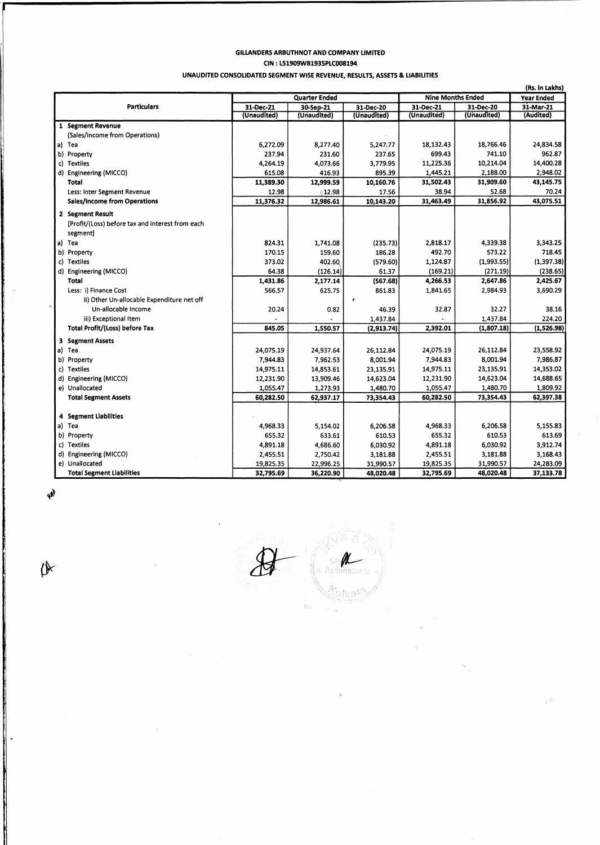### GILLANDERS ARBUTHNOT AND COMPANY LIMITED

CIN : L51909WB1935PLC008194

UNAUDITED CONSOLIDATED SEGMENT WISE REVENUE, RESULTS, ASSETS & LIABILITIES

|                                                  |                      |             |             |                          |                   | (Rs. in Lakhs) |
|--------------------------------------------------|----------------------|-------------|-------------|--------------------------|-------------------|----------------|
|                                                  | <b>Quarter Ended</b> |             |             | <b>Nine Months Ended</b> | <b>Year Ended</b> |                |
| <b>Particulars</b>                               | 31-Dec-21            | 30-Sep-21   | 31-Dec-20   | 31-Dec-21                | 31-Dec-20         | 31-Mar-21      |
|                                                  | (Unaudited)          | (Unaudited) | (Unaudited) | (Unaudited)              | (Unaudited)       | (Audited)      |
| 1 Segment Revenue                                |                      |             |             |                          |                   |                |
| (Sales/Income from Operations)                   |                      |             |             |                          |                   |                |
| a) Tea                                           | 6,272.09             | 8,277.40    | 5,247,77    | 18,132.43                | 18,766.46         | 24,834.58      |
| b) Property                                      | 237.94               | 231.60      | 237.65      | 699.43                   | 741.10            | 962.87         |
| c) Textiles                                      | 4,264.19             | 4,073.66    | 3,779.95    | 11,225.36                | 10,214.04         | 14,400.28      |
| d) Engineering (MICCO)                           | 615.08               | 416.93      | 895.39      | 1,445.21                 | 2,188.00          | 2,948.02       |
| Total                                            | 11,389.30            | 12,999.59   | 10,160.76   | 31,502.43                | 31,909.60         | 43,145.75      |
| Less: Inter Segment Revenue                      | 12.98                | 412.98      | 17.56       | 38.94                    | 52.68             | 70.24          |
| Sales/Income from Operations                     | 11,376.32            | 12,986.61   | 10,143.20   | 31,463.49                | 31,856.92         | 43,075.51      |
| 2 Segment Result                                 |                      |             |             |                          |                   |                |
| [Profit/(Loss) before tax and interest from each |                      |             |             |                          |                   |                |
| segment]                                         |                      |             |             |                          |                   |                |
| a) Tea                                           | 824.31               | 1,741.08    | (235.73)    | 2,818.17                 | 4,339.38          | 3,343.25       |
| b) Property                                      | 170.15               | 159.60      | 186.28      | 492.70                   | 573.22            | 718.45         |
| c) Textiles                                      | 373.02               | 402.60      | (579.60)    | 1,124.87                 | (1,993.55)        | (1, 397.38)    |
| d) Engineering (MICCO)                           | 64.38                | (126.14)    | 61.37       | (169.21)                 | (271.19)          | (238.65)       |
| Total                                            | 1,431.86             | 2,177.14    | (567.68)    | 4,266.53                 | 2,647.86          | 2,425.67       |
| Less: i) Finance Cost                            | 566.57               | 625.75      | 861.83      | 1,841.65                 | 2,984.93          | 3,690.29       |
| ii) Other Un-allocable Expenditure net off       |                      |             |             |                          |                   |                |
| Un-allocable Income                              | 20.24                | 0.82        | 46.39       | 32.87                    | 32.27             | 38.16          |
| iii) Exceptional Item                            |                      |             | 1,437.84    |                          | 1,437.84          | 224.20         |
| <b>Total Profit/(Loss) before Tax</b>            | 845.05               | 1,550.57    | (2,913.74)  | 2,392.01                 | (1,807.18)        | (1,526.98)     |
| 3 Segment Assets                                 |                      |             |             |                          |                   |                |
| a) Tea                                           | 24,075.19            | 24,937.64   | 26,112.84   | 24,075.19                | 26,112.84         | 23,558.92      |
| b) Property                                      | 7,944.83             | 7,962.53    | 8,001.94    | 7,944.83                 | 8,001.94          | 7,986.87       |
| c) Textiles                                      | 14,975.11            | 14,853.61   | 23,135.91   | 14,975.11                | 23,135.91         | 14,353.02      |
| d) Engineering (MICCO)                           | 12,231.90            | 13,909.46   | 14,623.04   | 12,231.90                | 14,623.04         | 14,688.65      |
| e) Unallocated                                   | 1,055.47             | 1,273.93    | 1,480.70    | 1,055.47                 | 1,480.70          | 1,809.92       |
| <b>Total Segment Assets</b>                      | 60,282.50            | 62,937.17   | 73,354.43   | 60,282.50                | 73,354.43         | 62,397.38      |
|                                                  |                      |             |             |                          |                   |                |
| 4 Segment Liabilities                            |                      |             |             |                          |                   |                |
| a) Tea                                           | 4,968.33             | 5,154.02    | 6,206.58    | 4,968.33                 | 6,206.58          | 5,155.83       |
| b) Property                                      | 655.32               | 633.61      | 610.53      | 655.32                   | 610.53            | 613.69         |
| c) Textiles                                      | 4,891.18             | 4,686.60    | 6,030.92    | 4,891.18                 | 6,030.92          | 3,912.74       |
| d) Engineering (MICCO)                           | 2,455.51             | 2,750.42    | 3,181.88    | 2,455.51                 | 3,181.88          | 3,168.43       |
| e) Unallocated                                   | 19,825.35            | 22,996.25   | 31,990.57   | 19,825.35                | 31,990.57         | 24,283.09      |
| <b>Total Segment Liabilities</b>                 | 32,795.69            | 36,220.90   | 48,020.48   | 32,795.69                | 48,020.48         | 37,133.78      |

 $\mathbf{v}$ 

伙

فللمستستد والمناه

Jr-··. Ø .<br>Accountaris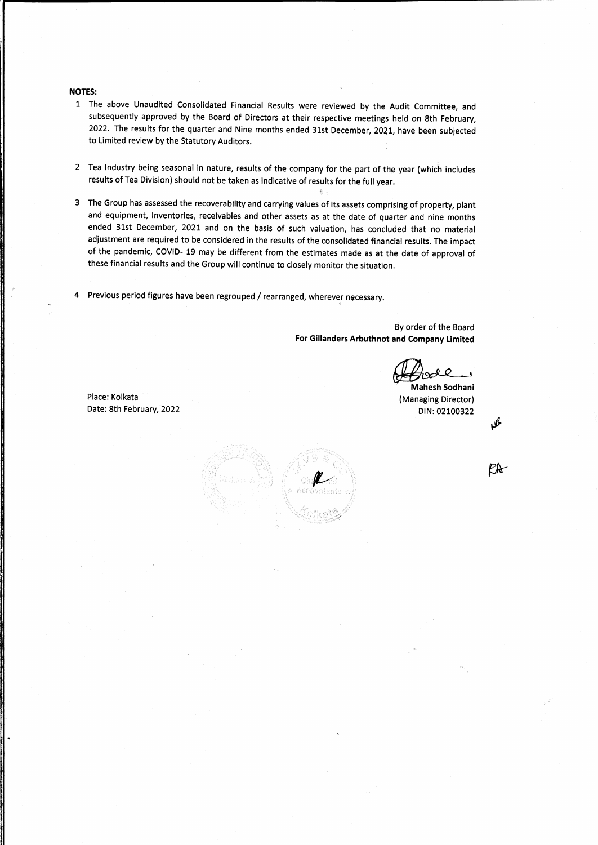#### **NOTES:**

- 1 The above Unaudited Consolidated Financial Results were reviewed by the Audit Committee, and subsequently approved by the Board of Directors at their respective meetings held on 8th February, 2022. The results for the quarter and Nine months ended 31st December, 2021, have been subjected to Limited review by the Statutory Auditors.
- 2 Tea Industry being seasonal in nature, results of the company for the part of the year (which includes results of Tea Division) should not be taken as indicative of results for the full year.
- 3 The Group has assessed the recoverability and carrying values of Its assets comprising of property, plant and equipment, Inventories, receivables and other assets as at the date of quarter and nine months ended 31st December, 2021 and on the basis of such valuation, has concluded that no material adjustment are required to be considered in the results of the consolidated financial results. The impact of the pandemic, COVID- 19 may be different from the estimates made as at the date of approval of these financial results and the Group will continue to closely monitor the situation.
- 4 Previous period figures have been regrouped / rearranged, wherever necessary.

By order of the Board **For Gillanders Arbuthnot and Company Limited** 

~' **Mahesh Sodhani**  (Managing Director) DIN: 02100322

Place: Kolkata Date: 8th February, 2022



KR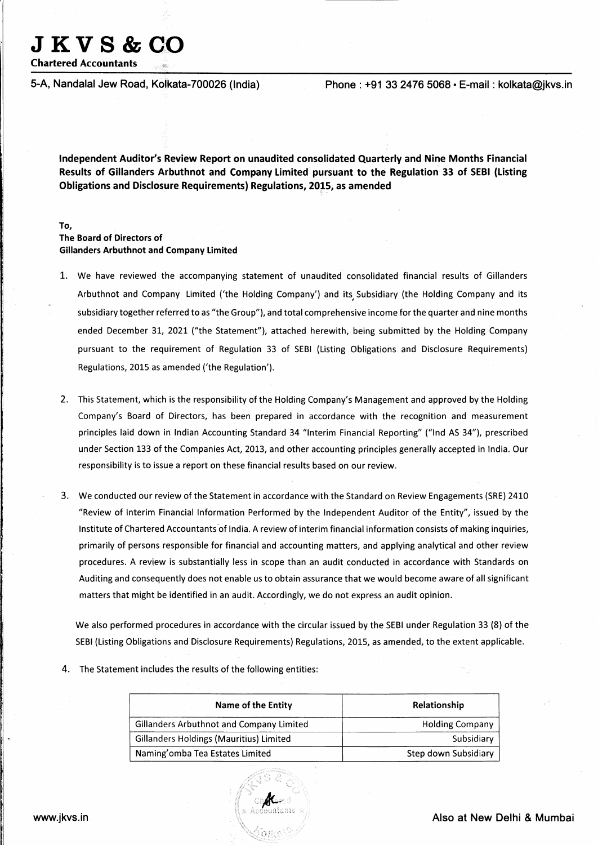# **JKVS&CO**

**Chartered Accountants** 

**5-A, Nandalal Jew Road, Kolkata-700026 (India) Phone: +91 33 2476 5068 • E-mail: kolkata@jkvs.in** 

**Independent Auditor's Review Report on unaudited consolidated Quarterly and Nine Months Financial Results of Gillanders Arbuthnot and Company Limited pursuant to the Regulation 33 of SEBI (Listing Obligations and Disclosure Requirements) Regulations, 2015, as amended** 

#### **To, The Board of Directors of Gillanders Arbuthnot and Company Limited**

- 1. We have reviewed the accompanying statement of unaudited consolidated financial results of Gillanders Arbuthnot and Company Limited ('the Holding Company') and its, Subsidiary (the Holding Company and its subsidiary together referred to as "the Group"), and total comprehensive income for the quarter and nine months ended December 31, 2021 ("the Statement"), attached herewith, being submitted by the Holding Company pursuant to the requirement of Regulation 33 of SEBI (Listing Obligations and Disclosure Requirements) Regulations, 2015 as amended ('the Regulation').
- 2. This Statement, which is the responsibility of the Holding Company's Management and approved by the Holding Company's Board of Directors, has been prepared in accordance with the recognition and measurement principles laid down in Indian Accounting Standard 34 "Interim Financial Reporting" ("lnd AS 34"), prescribed under Section 133 of the Companies Act, 2013, and other accounting principles generally accepted in India. Our responsibility is to issue a report on these financial results based on our review.
- 3. We conducted our review of the Statement in accordance with the Standard on Review Engagements (SRE) 2410 "Review of Interim Financial Information Performed by the Independent Auditor of the Entity", issued by the Institute of Chartered Accountants'of India. A review of interim financial information consists of making inquiries, primarily of persons responsible for financial and accounting matters, and applying analytical and other review procedures. A review is substantially less in scope than an audit conducted in accordance with Standards on Auditing and consequently does not enable us to obtain assurance that we would become aware of all significant matters that might be identified in an audit. Accordingly, we do not express an audit opinion.

We also performed procedures in accordance with the circular issued by the SEBI under Regulation 33 (8) of the SEBI (Listing Obligations and Disclosure Requirements) Regulations, 2015, as amended, to the extent applicable.

4. The Statement includes the results of the following entities:

| <b>Name of the Entity</b>                | Relationship           |
|------------------------------------------|------------------------|
| Gillanders Arbuthnot and Company Limited | <b>Holding Company</b> |
| Gillanders Holdings (Mauritius) Limited  | Subsidiary             |
| Naming'omba Tea Estates Limited          | Step down Subsidiary   |

#### **www.jkvs.in Also at New Delhi & Mumbai**